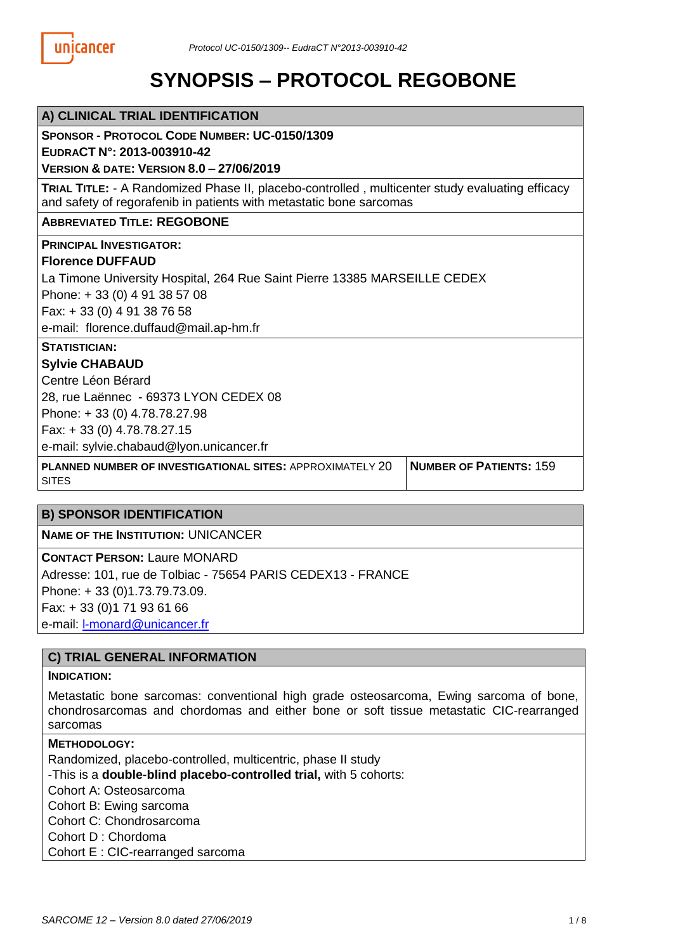# **SYNOPSIS – PROTOCOL REGOBONE**

| A) CLINICAL TRIAL IDENTIFICATION                                                                                                                                              |                                |  |  |  |  |
|-------------------------------------------------------------------------------------------------------------------------------------------------------------------------------|--------------------------------|--|--|--|--|
| <b>SPONSOR - PROTOCOL CODE NUMBER: UC-0150/1309</b><br>EUDRACT N°: 2013-003910-42                                                                                             |                                |  |  |  |  |
| <b>VERSION &amp; DATE: VERSION 8.0 - 27/06/2019</b>                                                                                                                           |                                |  |  |  |  |
| <b>TRIAL TITLE:</b> - A Randomized Phase II, placebo-controlled, multicenter study evaluating efficacy<br>and safety of regorafenib in patients with metastatic bone sarcomas |                                |  |  |  |  |
| <b>ABBREVIATED TITLE: REGOBONE</b>                                                                                                                                            |                                |  |  |  |  |
| <b>PRINCIPAL INVESTIGATOR:</b>                                                                                                                                                |                                |  |  |  |  |
| <b>Florence DUFFAUD</b>                                                                                                                                                       |                                |  |  |  |  |
| La Timone University Hospital, 264 Rue Saint Pierre 13385 MARSEILLE CEDEX                                                                                                     |                                |  |  |  |  |
| Phone: +33 (0) 4 91 38 57 08                                                                                                                                                  |                                |  |  |  |  |
| Fax: +33 (0) 4 91 38 76 58                                                                                                                                                    |                                |  |  |  |  |
| e-mail: florence.duffaud@mail.ap-hm.fr                                                                                                                                        |                                |  |  |  |  |
| <b>STATISTICIAN:</b>                                                                                                                                                          |                                |  |  |  |  |
| <b>Sylvie CHABAUD</b>                                                                                                                                                         |                                |  |  |  |  |
| Centre Léon Bérard                                                                                                                                                            |                                |  |  |  |  |
| 28, rue Laënnec - 69373 LYON CEDEX 08                                                                                                                                         |                                |  |  |  |  |
| Phone: +33 (0) 4.78.78.27.98                                                                                                                                                  |                                |  |  |  |  |
| Fax: +33 (0) 4.78.78.27.15                                                                                                                                                    |                                |  |  |  |  |
| e-mail: sylvie.chabaud@lyon.unicancer.fr                                                                                                                                      |                                |  |  |  |  |
| <b>PLANNED NUMBER OF INVESTIGATIONAL SITES: APPROXIMATELY 20</b><br><b>SITES</b>                                                                                              | <b>NUMBER OF PATIENTS: 159</b> |  |  |  |  |

## **B) SPONSOR IDENTIFICATION**

**NAME OF THE INSTITUTION:** UNICANCER

**CONTACT PERSON:** Laure MONARD Adresse: 101, rue de Tolbiac - 75654 PARIS CEDEX13 - FRANCE Phone: + 33 (0)1.73.79.73.09. Fax: + 33 (0)1 71 93 61 66 e-mail: l-monard@unicancer.fr

## **C) TRIAL GENERAL INFORMATION**

#### **INDICATION:**

Metastatic bone sarcomas: conventional high grade osteosarcoma, Ewing sarcoma of bone, chondrosarcomas and chordomas and either bone or soft tissue metastatic CIC-rearranged sarcomas

#### **METHODOLOGY:**

Randomized, placebo-controlled, multicentric, phase II study

-This is a **double-blind placebo-controlled trial,** with 5 cohorts:

Cohort A: Osteosarcoma

Cohort B: Ewing sarcoma

Cohort C: Chondrosarcoma

Cohort D : Chordoma

Cohort E : CIC-rearranged sarcoma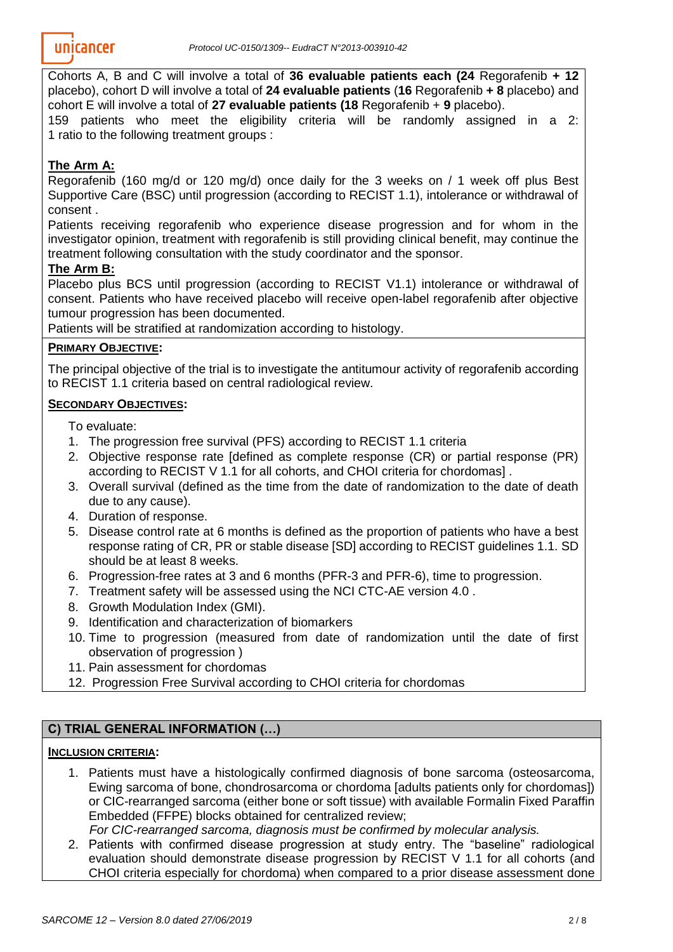Cohorts A, B and C will involve a total of **36 evaluable patients each (24** Regorafenib **+ 12** placebo), cohort D will involve a total of **24 evaluable patients** (**16** Regorafenib **+ 8** placebo) and cohort E will involve a total of **27 evaluable patients (18** Regorafenib + **9** placebo).

159 patients who meet the eligibility criteria will be randomly assigned in a 2: 1 ratio to the following treatment groups :

# **The Arm A:**

Regorafenib (160 mg/d or 120 mg/d) once daily for the 3 weeks on / 1 week off plus Best Supportive Care (BSC) until progression (according to RECIST 1.1), intolerance or withdrawal of consent .

Patients receiving regorafenib who experience disease progression and for whom in the investigator opinion, treatment with regorafenib is still providing clinical benefit, may continue the treatment following consultation with the study coordinator and the sponsor.

# **The Arm B:**

Placebo plus BCS until progression (according to RECIST V1.1) intolerance or withdrawal of consent. Patients who have received placebo will receive open-label regorafenib after objective tumour progression has been documented.

Patients will be stratified at randomization according to histology.

## **PRIMARY OBJECTIVE:**

The principal objective of the trial is to investigate the antitumour activity of regorafenib according to RECIST 1.1 criteria based on central radiological review.

## **SECONDARY OBJECTIVES:**

To evaluate:

- 1. The progression free survival (PFS) according to RECIST 1.1 criteria
- 2. Objective response rate [defined as complete response (CR) or partial response (PR) according to RECIST V 1.1 for all cohorts, and CHOI criteria for chordomas] .
- 3. Overall survival (defined as the time from the date of randomization to the date of death due to any cause).
- 4. Duration of response.
- 5. Disease control rate at 6 months is defined as the proportion of patients who have a best response rating of CR, PR or stable disease [SD] according to RECIST guidelines 1.1. SD should be at least 8 weeks.
- 6. Progression-free rates at 3 and 6 months (PFR-3 and PFR-6), time to progression.
- 7. Treatment safety will be assessed using the NCI CTC-AE version 4.0 .
- 8. Growth Modulation Index (GMI).
- 9. Identification and characterization of biomarkers
- 10. Time to progression (measured from date of randomization until the date of first observation of progression )
- 11. Pain assessment for chordomas
- 12. Progression Free Survival according to CHOI criteria for chordomas

# **C) TRIAL GENERAL INFORMATION (…)**

## **INCLUSION CRITERIA:**

1. Patients must have a histologically confirmed diagnosis of bone sarcoma (osteosarcoma, Ewing sarcoma of bone, chondrosarcoma or chordoma [adults patients only for chordomas]) or CIC-rearranged sarcoma (either bone or soft tissue) with available Formalin Fixed Paraffin Embedded (FFPE) blocks obtained for centralized review;

*For CIC-rearranged sarcoma, diagnosis must be confirmed by molecular analysis.*

2. Patients with confirmed disease progression at study entry. The "baseline" radiological evaluation should demonstrate disease progression by RECIST V 1.1 for all cohorts (and CHOI criteria especially for chordoma) when compared to a prior disease assessment done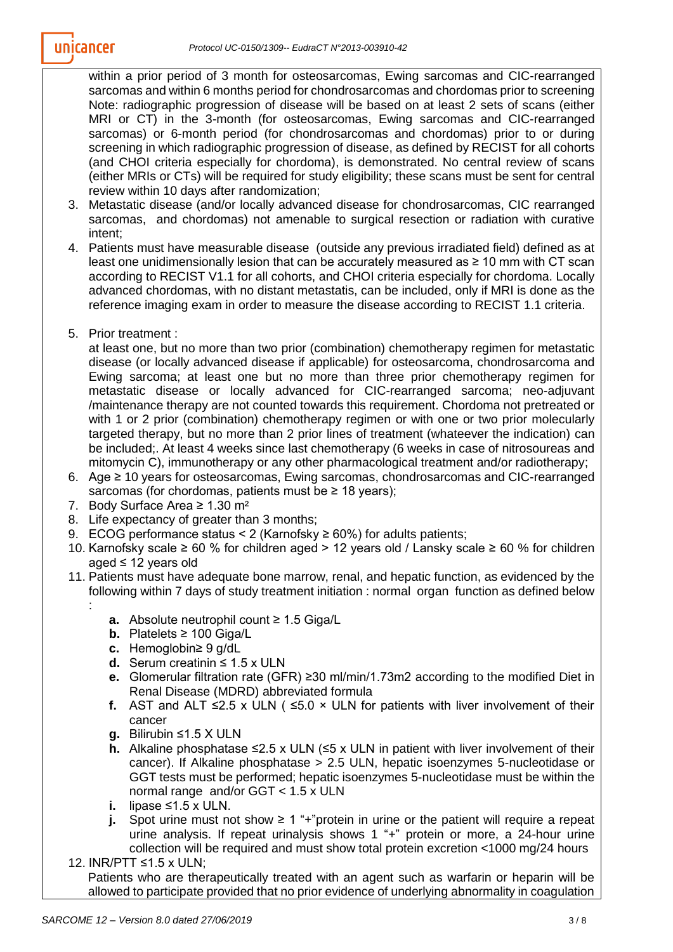within a prior period of 3 month for osteosarcomas, Ewing sarcomas and CIC-rearranged sarcomas and within 6 months period for chondrosarcomas and chordomas prior to screening Note: radiographic progression of disease will be based on at least 2 sets of scans (either MRI or CT) in the 3-month (for osteosarcomas, Ewing sarcomas and CIC-rearranged sarcomas) or 6-month period (for chondrosarcomas and chordomas) prior to or during screening in which radiographic progression of disease, as defined by RECIST for all cohorts (and CHOI criteria especially for chordoma), is demonstrated. No central review of scans (either MRIs or CTs) will be required for study eligibility; these scans must be sent for central review within 10 days after randomization;

- 3. Metastatic disease (and/or locally advanced disease for chondrosarcomas, CIC rearranged sarcomas, and chordomas) not amenable to surgical resection or radiation with curative intent;
- 4. Patients must have measurable disease (outside any previous irradiated field) defined as at least one unidimensionally lesion that can be accurately measured as ≥ 10 mm with CT scan according to RECIST V1.1 for all cohorts, and CHOI criteria especially for chordoma. Locally advanced chordomas, with no distant metastatis, can be included, only if MRI is done as the reference imaging exam in order to measure the disease according to RECIST 1.1 criteria.
- 5. Prior treatment :

:

at least one, but no more than two prior (combination) chemotherapy regimen for metastatic disease (or locally advanced disease if applicable) for osteosarcoma, chondrosarcoma and Ewing sarcoma; at least one but no more than three prior chemotherapy regimen for metastatic disease or locally advanced for CIC-rearranged sarcoma; neo-adjuvant /maintenance therapy are not counted towards this requirement. Chordoma not pretreated or with 1 or 2 prior (combination) chemotherapy regimen or with one or two prior molecularly targeted therapy, but no more than 2 prior lines of treatment (whateever the indication) can be included;. At least 4 weeks since last chemotherapy (6 weeks in case of nitrosoureas and mitomycin C), immunotherapy or any other pharmacological treatment and/or radiotherapy;

- 6. Age ≥ 10 years for osteosarcomas, Ewing sarcomas, chondrosarcomas and CIC-rearranged sarcomas (for chordomas, patients must be  $\geq 18$  years);
- 7. Body Surface Area ≥ 1.30 m²
- 8. Life expectancy of greater than 3 months;
- 9. ECOG performance status < 2 (Karnofsky  $\geq 60\%$ ) for adults patients;
- 10. Karnofsky scale ≥ 60 % for children aged > 12 years old / Lansky scale ≥ 60 % for children aged ≤ 12 years old
- 11. Patients must have adequate bone marrow, renal, and hepatic function, as evidenced by the following within 7 days of study treatment initiation : normal organ function as defined below
	- **a.** Absolute neutrophil count ≥ 1.5 Giga/L
	- **b.** Platelets ≥ 100 Giga/L
	- **c.** Hemoglobin≥ 9 g/dL
	- **d.** Serum creatinin ≤ 1.5 x ULN
	- **e.** Glomerular filtration rate (GFR) ≥30 ml/min/1.73m2 according to the modified Diet in Renal Disease (MDRD) abbreviated formula
	- **f.** AST and ALT  $\leq 2.5$  x ULN ( $\leq 5.0$  × ULN for patients with liver involvement of their cancer
	- **g.** Bilirubin ≤1.5 X ULN
	- **h.** Alkaline phosphatase ≤2.5 x ULN  $(≤5 x$  ULN in patient with liver involvement of their cancer). If Alkaline phosphatase > 2.5 ULN, hepatic isoenzymes 5-nucleotidase or GGT tests must be performed; hepatic isoenzymes 5-nucleotidase must be within the normal range and/or GGT < 1.5 x ULN
	- **i.** lipase ≤1.5 x ULN.
	- **j.** Spot urine must not show  $\geq 1$  "+"protein in urine or the patient will require a repeat urine analysis. If repeat urinalysis shows 1 "+" protein or more, a 24-hour urine collection will be required and must show total protein excretion <1000 mg/24 hours
- 12. INR/PTT ≤1.5 x ULN;

Patients who are therapeutically treated with an agent such as warfarin or heparin will be allowed to participate provided that no prior evidence of underlying abnormality in coagulation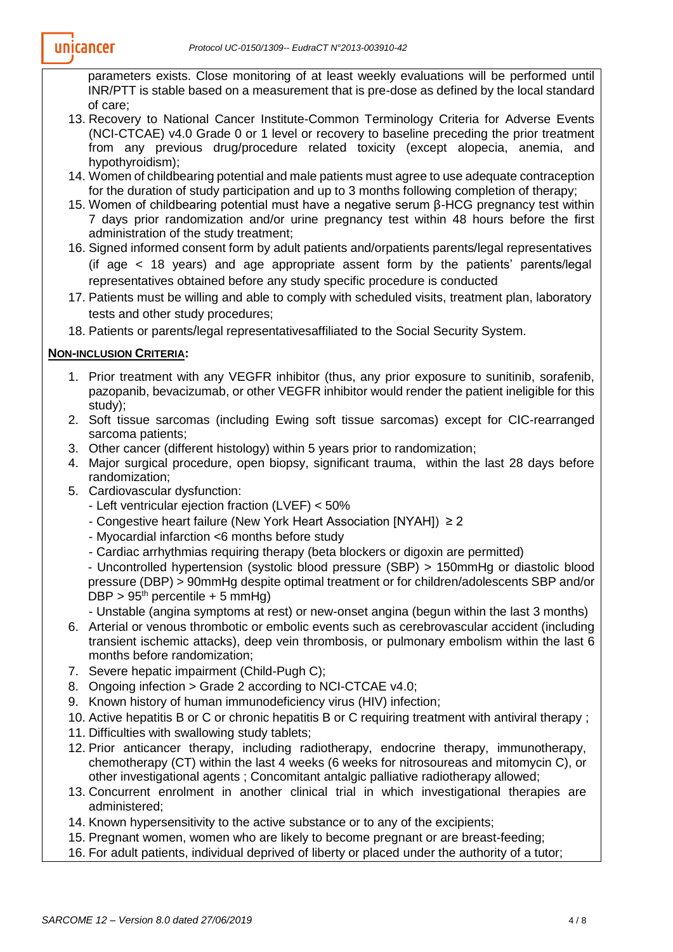parameters exists. Close monitoring of at least weekly evaluations will be performed until INR/PTT is stable based on a measurement that is pre-dose as defined by the local standard of care;

- 13. Recovery to National Cancer Institute-Common Terminology Criteria for Adverse Events (NCI-CTCAE) v4.0 Grade 0 or 1 level or recovery to baseline preceding the prior treatment from any previous drug/procedure related toxicity (except alopecia, anemia, and hypothyroidism);
- 14. Women of childbearing potential and male patients must agree to use adequate contraception for the duration of study participation and up to 3 months following completion of therapy;
- 15. Women of childbearing potential must have a negative serum β-HCG pregnancy test within 7 days prior randomization and/or urine pregnancy test within 48 hours before the first administration of the study treatment;
- 16. Signed informed consent form by adult patients and/orpatients parents/legal representatives (if age < 18 years) and age appropriate assent form by the patients' parents/legal representatives obtained before any study specific procedure is conducted
- 17. Patients must be willing and able to comply with scheduled visits, treatment plan, laboratory tests and other study procedures;
- 18. Patients or parents/legal representativesaffiliated to the Social Security System.

## **NON-INCLUSION CRITERIA:**

- 1. Prior treatment with any VEGFR inhibitor (thus, any prior exposure to sunitinib, sorafenib, pazopanib, bevacizumab, or other VEGFR inhibitor would render the patient ineligible for this study);
- 2. Soft tissue sarcomas (including Ewing soft tissue sarcomas) except for CIC-rearranged sarcoma patients;
- 3. Other cancer (different histology) within 5 years prior to randomization;
- 4. Major surgical procedure, open biopsy, significant trauma, within the last 28 days before randomization;
- 5. Cardiovascular dysfunction:
	- Left ventricular ejection fraction (LVEF) < 50%
	- Congestive heart failure (New York Heart Association [NYAH]) ≥ 2
	- Myocardial infarction <6 months before study
	- Cardiac arrhythmias requiring therapy (beta blockers or digoxin are permitted)

- Uncontrolled hypertension (systolic blood pressure (SBP) > 150mmHg or diastolic blood pressure (DBP) > 90mmHg despite optimal treatment or for children/adolescents SBP and/or  $DBP > 95<sup>th</sup>$  percentile + 5 mmHg)

- Unstable (angina symptoms at rest) or new-onset angina (begun within the last 3 months)
- 6. Arterial or venous thrombotic or embolic events such as cerebrovascular accident (including transient ischemic attacks), deep vein thrombosis, or pulmonary embolism within the last 6 months before randomization;
- 7. Severe hepatic impairment (Child-Pugh C);
- 8. Ongoing infection > Grade 2 according to NCI-CTCAE v4.0;
- 9. Known history of human immunodeficiency virus (HIV) infection;
- 10. Active hepatitis B or C or chronic hepatitis B or C requiring treatment with antiviral therapy ;
- 11. Difficulties with swallowing study tablets;
- 12. Prior anticancer therapy, including radiotherapy, endocrine therapy, immunotherapy, chemotherapy (CT) within the last 4 weeks (6 weeks for nitrosoureas and mitomycin C), or other investigational agents ; Concomitant antalgic palliative radiotherapy allowed;
- 13. Concurrent enrolment in another clinical trial in which investigational therapies are administered;
- 14. Known hypersensitivity to the active substance or to any of the excipients;
- 15. Pregnant women, women who are likely to become pregnant or are breast-feeding;
- 16. For adult patients, individual deprived of liberty or placed under the authority of a tutor;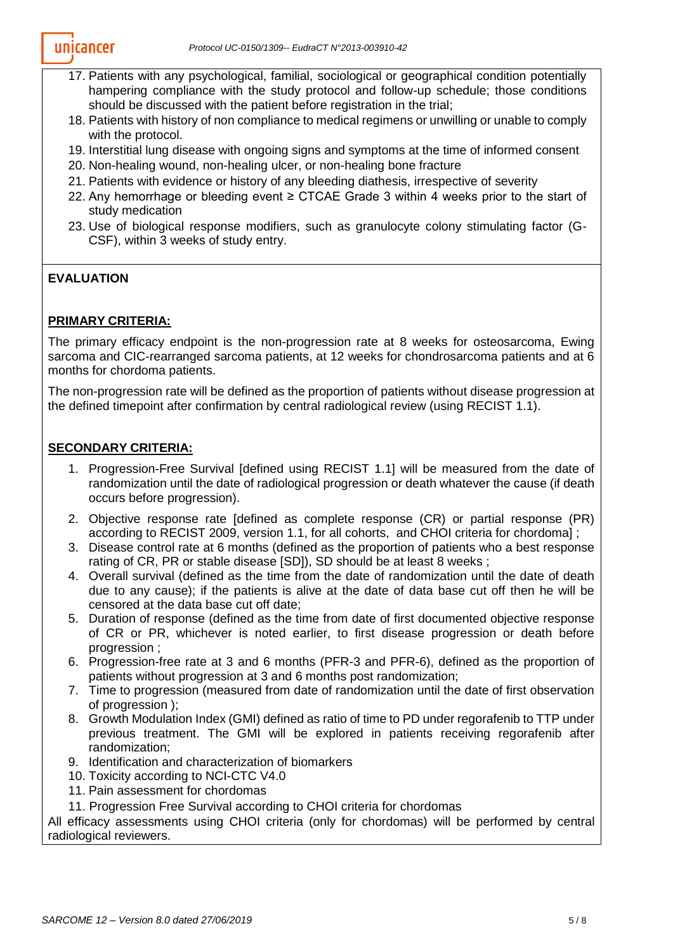- 17. Patients with any psychological, familial, sociological or geographical condition potentially hampering compliance with the study protocol and follow-up schedule; those conditions should be discussed with the patient before registration in the trial;
- 18. Patients with history of non compliance to medical regimens or unwilling or unable to comply with the protocol.
- 19. Interstitial lung disease with ongoing signs and symptoms at the time of informed consent
- 20. Non-healing wound, non-healing ulcer, or non-healing bone fracture
- 21. Patients with evidence or history of any bleeding diathesis, irrespective of severity
- 22. Any hemorrhage or bleeding event  $\geq$  CTCAE Grade 3 within 4 weeks prior to the start of study medication
- 23. Use of biological response modifiers, such as granulocyte colony stimulating factor (G-CSF), within 3 weeks of study entry.

# **EVALUATION**

## **PRIMARY CRITERIA:**

The primary efficacy endpoint is the non-progression rate at 8 weeks for osteosarcoma, Ewing sarcoma and CIC-rearranged sarcoma patients, at 12 weeks for chondrosarcoma patients and at 6 months for chordoma patients.

The non-progression rate will be defined as the proportion of patients without disease progression at the defined timepoint after confirmation by central radiological review (using RECIST 1.1).

## **SECONDARY CRITERIA:**

- 1. Progression-Free Survival [defined using RECIST 1.1] will be measured from the date of randomization until the date of radiological progression or death whatever the cause (if death occurs before progression).
- 2. Objective response rate [defined as complete response (CR) or partial response (PR) according to RECIST 2009, version 1.1, for all cohorts, and CHOI criteria for chordoma] ;
- 3. Disease control rate at 6 months (defined as the proportion of patients who a best response rating of CR, PR or stable disease [SD]), SD should be at least 8 weeks ;
- 4. Overall survival (defined as the time from the date of randomization until the date of death due to any cause); if the patients is alive at the date of data base cut off then he will be censored at the data base cut off date;
- 5. Duration of response (defined as the time from date of first documented objective response of CR or PR, whichever is noted earlier, to first disease progression or death before progression ;
- 6. Progression-free rate at 3 and 6 months (PFR-3 and PFR-6), defined as the proportion of patients without progression at 3 and 6 months post randomization;
- 7. Time to progression (measured from date of randomization until the date of first observation of progression );
- 8. Growth Modulation Index (GMI) defined as ratio of time to PD under regorafenib to TTP under previous treatment. The GMI will be explored in patients receiving regorafenib after randomization;
- 9. Identification and characterization of biomarkers
- 10. Toxicity according to NCI-CTC V4.0
- 11. Pain assessment for chordomas
- 11. Progression Free Survival according to CHOI criteria for chordomas

All efficacy assessments using CHOI criteria (only for chordomas) will be performed by central radiological reviewers.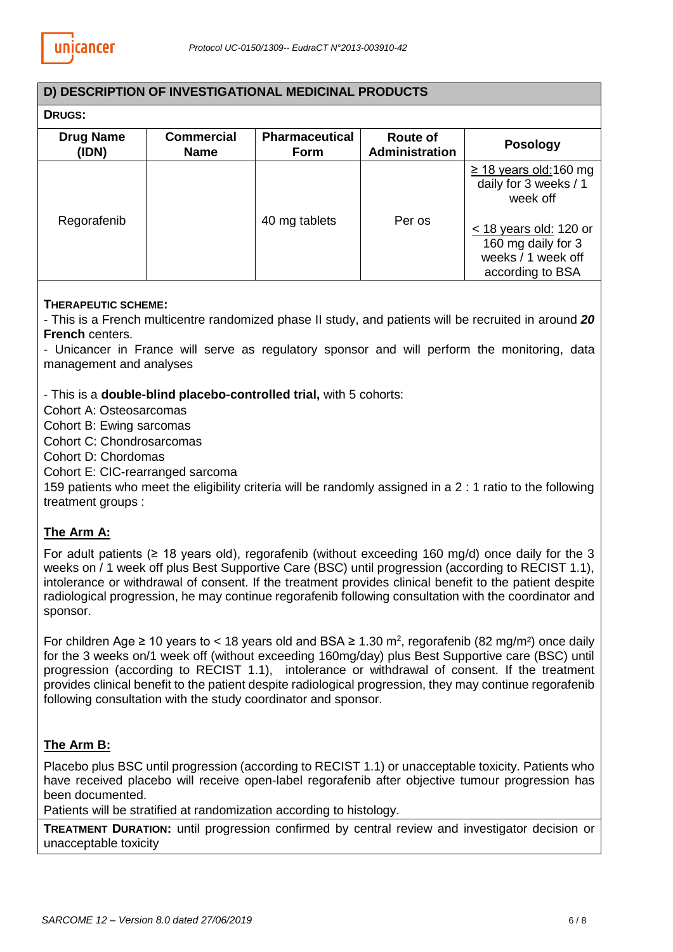#### **D) DESCRIPTION OF INVESTIGATIONAL MEDICINAL PRODUCTS**

# **DRUGS:**

| -----                     |                                  |                                      |                            |                                                                                                                                                                 |
|---------------------------|----------------------------------|--------------------------------------|----------------------------|-----------------------------------------------------------------------------------------------------------------------------------------------------------------|
| <b>Drug Name</b><br>(IDN) | <b>Commercial</b><br><b>Name</b> | <b>Pharmaceutical</b><br><b>Form</b> | Route of<br>Administration | <b>Posology</b>                                                                                                                                                 |
| Regorafenib               |                                  | 40 mg tablets                        | Per os                     | $\geq$ 18 years old: 160 mg<br>daily for 3 weeks / 1<br>week off<br>$\leq$ 18 years old: 120 or<br>160 mg daily for 3<br>weeks / 1 week off<br>according to BSA |

#### **THERAPEUTIC SCHEME:**

- This is a French multicentre randomized phase II study, and patients will be recruited in around *20* **French** centers.

- Unicancer in France will serve as regulatory sponsor and will perform the monitoring, data management and analyses

- This is a **double-blind placebo-controlled trial,** with 5 cohorts:

Cohort A: Osteosarcomas

Cohort B: Ewing sarcomas

Cohort C: Chondrosarcomas

Cohort D: Chordomas

Cohort E: CIC-rearranged sarcoma

159 patients who meet the eligibility criteria will be randomly assigned in a 2 : 1 ratio to the following treatment groups :

## **The Arm A:**

For adult patients ( $\geq$  18 years old), regorafenib (without exceeding 160 mg/d) once daily for the 3 weeks on / 1 week off plus Best Supportive Care (BSC) until progression (according to RECIST 1.1), intolerance or withdrawal of consent. If the treatment provides clinical benefit to the patient despite radiological progression, he may continue regorafenib following consultation with the coordinator and sponsor.

For children Age  $\geq 10$  years to < 18 years old and BSA  $\geq 1.30$  m<sup>2</sup>, regorafenib (82 mg/m<sup>2</sup>) once daily for the 3 weeks on/1 week off (without exceeding 160mg/day) plus Best Supportive care (BSC) until progression (according to RECIST 1.1), intolerance or withdrawal of consent. If the treatment provides clinical benefit to the patient despite radiological progression, they may continue regorafenib following consultation with the study coordinator and sponsor.

## **The Arm B:**

Placebo plus BSC until progression (according to RECIST 1.1) or unacceptable toxicity. Patients who have received placebo will receive open-label regorafenib after objective tumour progression has been documented.

Patients will be stratified at randomization according to histology.

**TREATMENT DURATION:** until progression confirmed by central review and investigator decision or unacceptable toxicity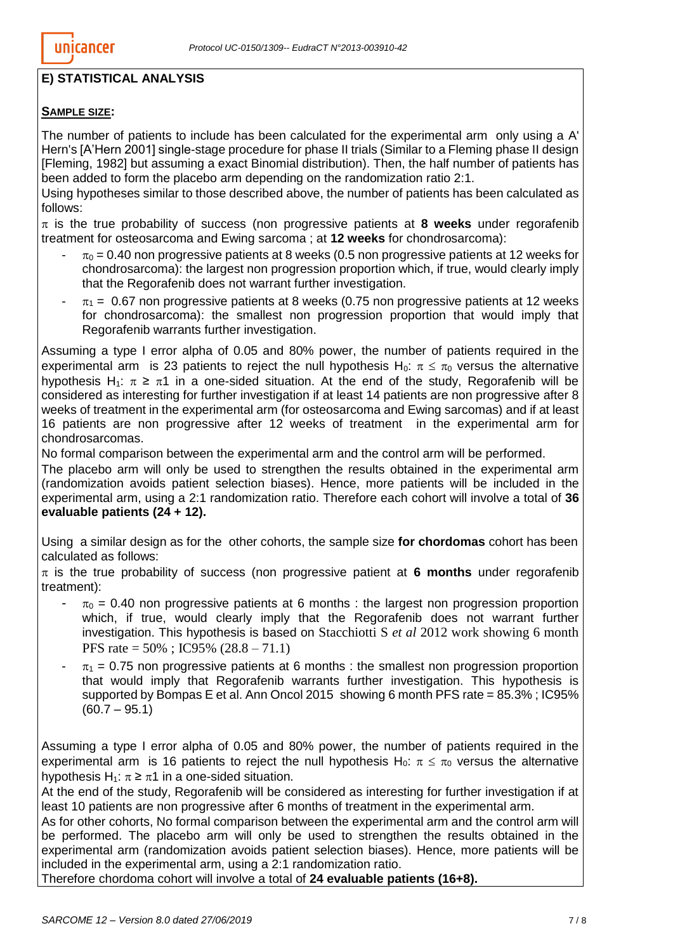# **E) STATISTICAL ANALYSIS**

## **SAMPLE SIZE:**

The number of patients to include has been calculated for the experimental arm only using a A' Hern's [A'Hern 2001] single-stage procedure for phase II trials (Similar to a Fleming phase II design [Fleming, 1982] but assuming a exact Binomial distribution). Then, the half number of patients has been added to form the placebo arm depending on the randomization ratio 2:1.

Using hypotheses similar to those described above, the number of patients has been calculated as follows:

 $\pi$  is the true probability of success (non progressive patients at 8 weeks under regorafenib treatment for osteosarcoma and Ewing sarcoma ; at **12 weeks** for chondrosarcoma):

- $\pi_0$  = 0.40 non progressive patients at 8 weeks (0.5 non progressive patients at 12 weeks for chondrosarcoma): the largest non progression proportion which, if true, would clearly imply that the Regorafenib does not warrant further investigation.
- $\pi_1$  = 0.67 non progressive patients at 8 weeks (0.75 non progressive patients at 12 weeks for chondrosarcoma): the smallest non progression proportion that would imply that Regorafenib warrants further investigation.

Assuming a type I error alpha of 0.05 and 80% power, the number of patients required in the experimental arm is 23 patients to reject the null hypothesis H<sub>0</sub>:  $\pi \leq \pi_0$  versus the alternative hypothesis H<sub>1</sub>:  $\pi \geq \pi$ 1 in a one-sided situation. At the end of the study, Regorafenib will be considered as interesting for further investigation if at least 14 patients are non progressive after 8 weeks of treatment in the experimental arm (for osteosarcoma and Ewing sarcomas) and if at least 16 patients are non progressive after 12 weeks of treatment in the experimental arm for chondrosarcomas.

No formal comparison between the experimental arm and the control arm will be performed.

The placebo arm will only be used to strengthen the results obtained in the experimental arm (randomization avoids patient selection biases). Hence, more patients will be included in the experimental arm, using a 2:1 randomization ratio. Therefore each cohort will involve a total of **36 evaluable patients (24 + 12).**

Using a similar design as for the other cohorts, the sample size **for chordomas** cohort has been calculated as follows:

 $\pi$  is the true probability of success (non progressive patient at **6 months** under regorafenib treatment):

- $\pi_0$  = 0.40 non progressive patients at 6 months : the largest non progression proportion which, if true, would clearly imply that the Regorafenib does not warrant further investigation. This hypothesis is based on Stacchiotti S *et al* 2012 work showing 6 month PFS rate = 50% ; IC95% (28.8 – 71.1)
- $\pi_1$  = 0.75 non progressive patients at 6 months : the smallest non progression proportion that would imply that Regorafenib warrants further investigation. This hypothesis is supported by Bompas E et al. Ann Oncol 2015 showing 6 month PFS rate = 85.3% ; IC95%  $(60.7 - 95.1)$

Assuming a type I error alpha of 0.05 and 80% power, the number of patients required in the experimental arm is 16 patients to reject the null hypothesis H<sub>0</sub>:  $\pi \leq \pi_0$  versus the alternative hypothesis H<sub>1</sub>:  $\pi \geq \pi$ 1 in a one-sided situation.

At the end of the study, Regorafenib will be considered as interesting for further investigation if at least 10 patients are non progressive after 6 months of treatment in the experimental arm.

As for other cohorts, No formal comparison between the experimental arm and the control arm will be performed. The placebo arm will only be used to strengthen the results obtained in the experimental arm (randomization avoids patient selection biases). Hence, more patients will be included in the experimental arm, using a 2:1 randomization ratio.

Therefore chordoma cohort will involve a total of **24 evaluable patients (16+8).**